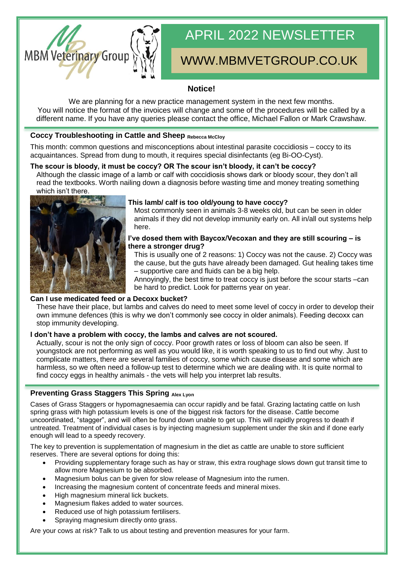

# APRIL 2022 NEWSLETTER

## WWW.MBMVETGROUP.CO.UK

#### **Notice!**

We are planning for a new practice management system in the next few months. You will notice the format of the invoices will change and some of the procedures will be called by a different name. If you have any queries please contact the office, Michael Fallon or Mark Crawshaw.

#### **Coccy Troubleshooting in Cattle and Sheep Rebecca McCloy**

This month: common questions and misconceptions about intestinal parasite coccidiosis – coccy to its acquaintances. Spread from dung to mouth, it requires special disinfectants (eg Bi-OO-Cyst).

#### **The scour is bloody, it must be coccy? OR The scour isn't bloody, it can't be coccy?**

Although the classic image of a lamb or calf with coccidiosis shows dark or bloody scour, they don't all read the textbooks. Worth nailing down a diagnosis before wasting time and money treating something which isn't there.



#### **This lamb/ calf is too old/young to have coccy?**

Most commonly seen in animals 3-8 weeks old, but can be seen in older animals if they did not develop immunity early on. All in/all out systems help here.

#### **I've dosed them with Baycox/Vecoxan and they are still scouring – is there a stronger drug?**

This is usually one of 2 reasons: 1) Coccy was not the cause. 2) Coccy was the cause, but the guts have already been damaged. Gut healing takes time – supportive care and fluids can be a big help.

Annoyingly, the best time to treat coccy is just before the scour starts –can be hard to predict. Look for patterns year on year.

#### **Can I use medicated feed or a Decoxx bucket?**

These have their place, but lambs and calves do need to meet some level of coccy in order to develop their own immune defences (this is why we don't commonly see coccy in older animals). Feeding decoxx can stop immunity developing.

#### **I don't have a problem with coccy, the lambs and calves are not scoured.**

Actually, scour is not the only sign of coccy. Poor growth rates or loss of bloom can also be seen. If youngstock are not performing as well as you would like, it is worth speaking to us to find out why. Just to complicate matters, there are several families of coccy, some which cause disease and some which are harmless, so we often need a follow-up test to determine which we are dealing with. It is quite normal to find coccy eggs in healthy animals - the vets will help you interpret lab results.

#### **Preventing Grass Staggers This Spring Alex Lyon**

Cases of Grass Staggers or hypomagnesaemia can occur rapidly and be fatal. Grazing lactating cattle on lush spring grass with high potassium levels is one of the biggest risk factors for the disease. Cattle become uncoordinated, "stagger", and will often be found down unable to get up. This will rapidly progress to death if untreated. Treatment of individual cases is by injecting magnesium supplement under the skin and if done early enough will lead to a speedy recovery.

The key to prevention is supplementation of magnesium in the diet as cattle are unable to store sufficient reserves. There are several options for doing this:

- Providing supplementary forage such as hay or straw, this extra roughage slows down gut transit time to allow more Magnesium to be absorbed.
- Magnesium bolus can be given for slow release of Magnesium into the rumen.
- Increasing the magnesium content of concentrate feeds and mineral mixes.
- High magnesium mineral lick buckets.
- Magnesium flakes added to water sources.
- Reduced use of high potassium fertilisers.
- Spraying magnesium directly onto grass.

Are your cows at risk? Talk to us about testing and prevention measures for your farm.